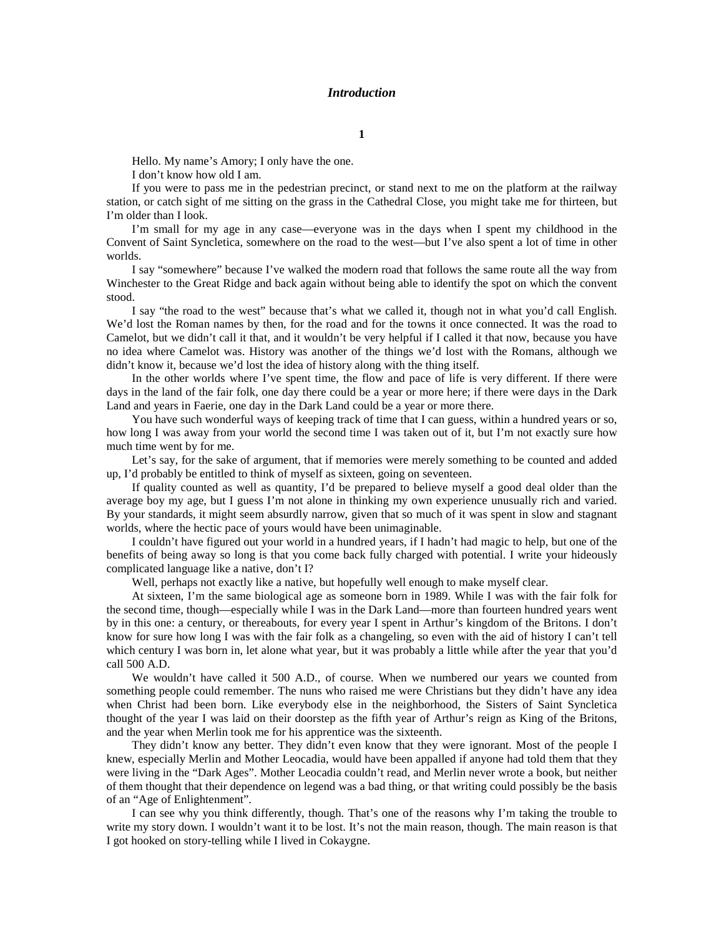## *Introduction*

Hello. My name's Amory; I only have the one.

I don't know how old I am.

If you were to pass me in the pedestrian precinct, or stand next to me on the platform at the railway station, or catch sight of me sitting on the grass in the Cathedral Close, you might take me for thirteen, but I'm older than I look.

I'm small for my age in any case—everyone was in the days when I spent my childhood in the Convent of Saint Syncletica, somewhere on the road to the west—but I've also spent a lot of time in other worlds.

I say "somewhere" because I've walked the modern road that follows the same route all the way from Winchester to the Great Ridge and back again without being able to identify the spot on which the convent stood.

I say "the road to the west" because that's what we called it, though not in what you'd call English. We'd lost the Roman names by then, for the road and for the towns it once connected. It was the road to Camelot, but we didn't call it that, and it wouldn't be very helpful if I called it that now, because you have no idea where Camelot was. History was another of the things we'd lost with the Romans, although we didn't know it, because we'd lost the idea of history along with the thing itself.

In the other worlds where I've spent time, the flow and pace of life is very different. If there were days in the land of the fair folk, one day there could be a year or more here; if there were days in the Dark Land and years in Faerie, one day in the Dark Land could be a year or more there.

You have such wonderful ways of keeping track of time that I can guess, within a hundred years or so, how long I was away from your world the second time I was taken out of it, but I'm not exactly sure how much time went by for me.

Let's say, for the sake of argument, that if memories were merely something to be counted and added up, I'd probably be entitled to think of myself as sixteen, going on seventeen.

If quality counted as well as quantity, I'd be prepared to believe myself a good deal older than the average boy my age, but I guess I'm not alone in thinking my own experience unusually rich and varied. By your standards, it might seem absurdly narrow, given that so much of it was spent in slow and stagnant worlds, where the hectic pace of yours would have been unimaginable.

I couldn't have figured out your world in a hundred years, if I hadn't had magic to help, but one of the benefits of being away so long is that you come back fully charged with potential. I write your hideously complicated language like a native, don't I?

Well, perhaps not exactly like a native, but hopefully well enough to make myself clear.

At sixteen, I'm the same biological age as someone born in 1989. While I was with the fair folk for the second time, though—especially while I was in the Dark Land—more than fourteen hundred years went by in this one: a century, or thereabouts, for every year I spent in Arthur's kingdom of the Britons. I don't know for sure how long I was with the fair folk as a changeling, so even with the aid of history I can't tell which century I was born in, let alone what year, but it was probably a little while after the year that you'd call 500 A.D.

We wouldn't have called it 500 A.D., of course. When we numbered our years we counted from something people could remember. The nuns who raised me were Christians but they didn't have any idea when Christ had been born. Like everybody else in the neighborhood, the Sisters of Saint Syncletica thought of the year I was laid on their doorstep as the fifth year of Arthur's reign as King of the Britons, and the year when Merlin took me for his apprentice was the sixteenth.

They didn't know any better. They didn't even know that they were ignorant. Most of the people I knew, especially Merlin and Mother Leocadia, would have been appalled if anyone had told them that they were living in the "Dark Ages". Mother Leocadia couldn't read, and Merlin never wrote a book, but neither of them thought that their dependence on legend was a bad thing, or that writing could possibly be the basis of an "Age of Enlightenment".

I can see why you think differently, though. That's one of the reasons why I'm taking the trouble to write my story down. I wouldn't want it to be lost. It's not the main reason, though. The main reason is that I got hooked on story-telling while I lived in Cokaygne.

**1**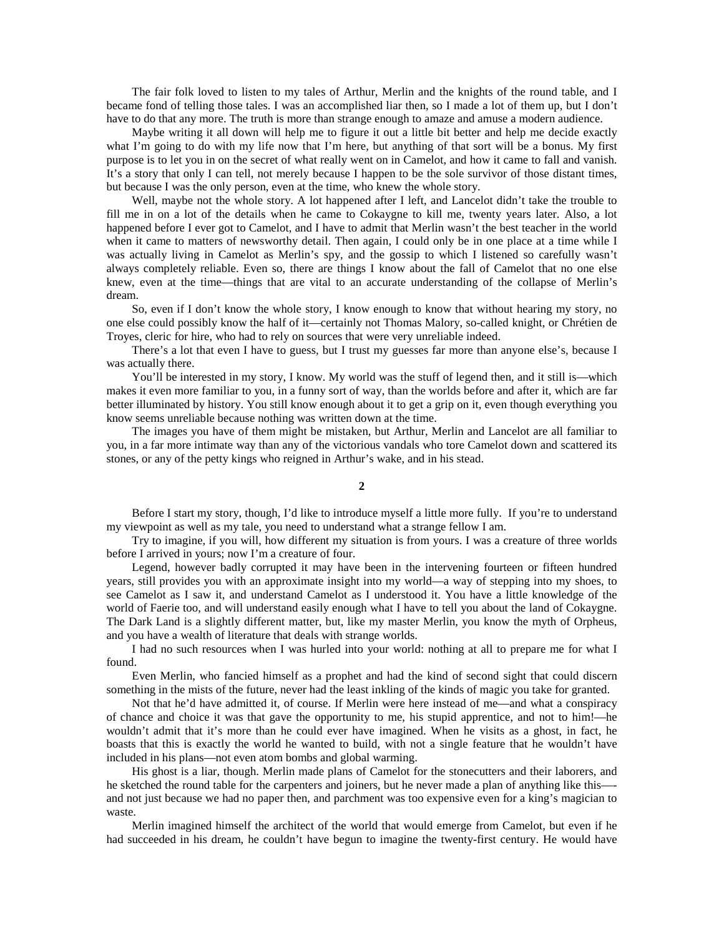The fair folk loved to listen to my tales of Arthur, Merlin and the knights of the round table, and I became fond of telling those tales. I was an accomplished liar then, so I made a lot of them up, but I don't have to do that any more. The truth is more than strange enough to amaze and amuse a modern audience.

Maybe writing it all down will help me to figure it out a little bit better and help me decide exactly what I'm going to do with my life now that I'm here, but anything of that sort will be a bonus. My first purpose is to let you in on the secret of what really went on in Camelot, and how it came to fall and vanish. It's a story that only I can tell, not merely because I happen to be the sole survivor of those distant times, but because I was the only person, even at the time, who knew the whole story.

Well, maybe not the whole story. A lot happened after I left, and Lancelot didn't take the trouble to fill me in on a lot of the details when he came to Cokaygne to kill me, twenty years later. Also, a lot happened before I ever got to Camelot, and I have to admit that Merlin wasn't the best teacher in the world when it came to matters of newsworthy detail. Then again, I could only be in one place at a time while I was actually living in Camelot as Merlin's spy, and the gossip to which I listened so carefully wasn't always completely reliable. Even so, there are things I know about the fall of Camelot that no one else knew, even at the time—things that are vital to an accurate understanding of the collapse of Merlin's dream.

So, even if I don't know the whole story, I know enough to know that without hearing my story, no one else could possibly know the half of it—certainly not Thomas Malory, so-called knight, or Chrétien de Troyes, cleric for hire, who had to rely on sources that were very unreliable indeed.

There's a lot that even I have to guess, but I trust my guesses far more than anyone else's, because I was actually there.

You'll be interested in my story, I know. My world was the stuff of legend then, and it still is—which makes it even more familiar to you, in a funny sort of way, than the worlds before and after it, which are far better illuminated by history. You still know enough about it to get a grip on it, even though everything you know seems unreliable because nothing was written down at the time.

The images you have of them might be mistaken, but Arthur, Merlin and Lancelot are all familiar to you, in a far more intimate way than any of the victorious vandals who tore Camelot down and scattered its stones, or any of the petty kings who reigned in Arthur's wake, and in his stead.

**2**

Before I start my story, though, I'd like to introduce myself a little more fully. If you're to understand my viewpoint as well as my tale, you need to understand what a strange fellow I am.

Try to imagine, if you will, how different my situation is from yours. I was a creature of three worlds before I arrived in yours; now I'm a creature of four.

Legend, however badly corrupted it may have been in the intervening fourteen or fifteen hundred years, still provides you with an approximate insight into my world—a way of stepping into my shoes, to see Camelot as I saw it, and understand Camelot as I understood it. You have a little knowledge of the world of Faerie too, and will understand easily enough what I have to tell you about the land of Cokaygne. The Dark Land is a slightly different matter, but, like my master Merlin, you know the myth of Orpheus, and you have a wealth of literature that deals with strange worlds.

I had no such resources when I was hurled into your world: nothing at all to prepare me for what I found.

Even Merlin, who fancied himself as a prophet and had the kind of second sight that could discern something in the mists of the future, never had the least inkling of the kinds of magic you take for granted.

Not that he'd have admitted it, of course. If Merlin were here instead of me—and what a conspiracy of chance and choice it was that gave the opportunity to me, his stupid apprentice, and not to him!—he wouldn't admit that it's more than he could ever have imagined. When he visits as a ghost, in fact, he boasts that this is exactly the world he wanted to build, with not a single feature that he wouldn't have included in his plans—not even atom bombs and global warming.

His ghost is a liar, though. Merlin made plans of Camelot for the stonecutters and their laborers, and he sketched the round table for the carpenters and joiners, but he never made a plan of anything like this-and not just because we had no paper then, and parchment was too expensive even for a king's magician to waste.

Merlin imagined himself the architect of the world that would emerge from Camelot, but even if he had succeeded in his dream, he couldn't have begun to imagine the twenty-first century. He would have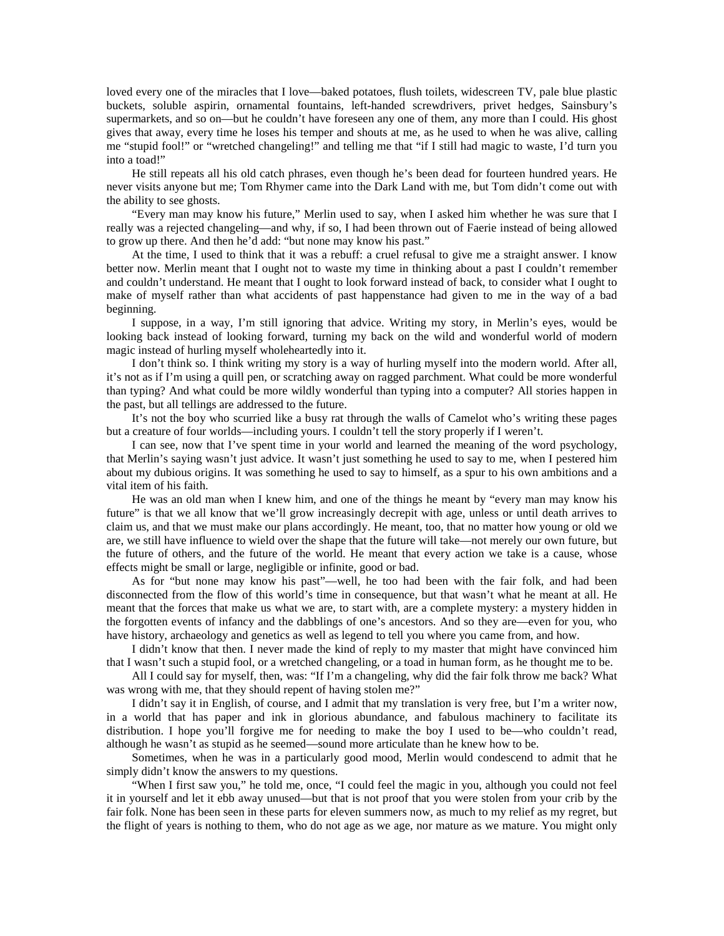loved every one of the miracles that I love—baked potatoes, flush toilets, widescreen TV, pale blue plastic buckets, soluble aspirin, ornamental fountains, left-handed screwdrivers, privet hedges, Sainsbury's supermarkets, and so on—but he couldn't have foreseen any one of them, any more than I could. His ghost gives that away, every time he loses his temper and shouts at me, as he used to when he was alive, calling me "stupid fool!" or "wretched changeling!" and telling me that "if I still had magic to waste, I'd turn you into a toad!"

He still repeats all his old catch phrases, even though he's been dead for fourteen hundred years. He never visits anyone but me; Tom Rhymer came into the Dark Land with me, but Tom didn't come out with the ability to see ghosts.

"Every man may know his future," Merlin used to say, when I asked him whether he was sure that I really was a rejected changeling—and why, if so, I had been thrown out of Faerie instead of being allowed to grow up there. And then he'd add: "but none may know his past."

At the time, I used to think that it was a rebuff: a cruel refusal to give me a straight answer. I know better now. Merlin meant that I ought not to waste my time in thinking about a past I couldn't remember and couldn't understand. He meant that I ought to look forward instead of back, to consider what I ought to make of myself rather than what accidents of past happenstance had given to me in the way of a bad beginning.

I suppose, in a way, I'm still ignoring that advice. Writing my story, in Merlin's eyes, would be looking back instead of looking forward, turning my back on the wild and wonderful world of modern magic instead of hurling myself wholeheartedly into it.

I don't think so. I think writing my story is a way of hurling myself into the modern world. After all, it's not as if I'm using a quill pen, or scratching away on ragged parchment. What could be more wonderful than typing? And what could be more wildly wonderful than typing into a computer? All stories happen in the past, but all tellings are addressed to the future.

It's not the boy who scurried like a busy rat through the walls of Camelot who's writing these pages but a creature of four worlds—including yours. I couldn't tell the story properly if I weren't.

I can see, now that I've spent time in your world and learned the meaning of the word psychology, that Merlin's saying wasn't just advice. It wasn't just something he used to say to me, when I pestered him about my dubious origins. It was something he used to say to himself, as a spur to his own ambitions and a vital item of his faith.

He was an old man when I knew him, and one of the things he meant by "every man may know his future" is that we all know that we'll grow increasingly decrepit with age, unless or until death arrives to claim us, and that we must make our plans accordingly. He meant, too, that no matter how young or old we are, we still have influence to wield over the shape that the future will take—not merely our own future, but the future of others, and the future of the world. He meant that every action we take is a cause, whose effects might be small or large, negligible or infinite, good or bad.

As for "but none may know his past"—well, he too had been with the fair folk, and had been disconnected from the flow of this world's time in consequence, but that wasn't what he meant at all. He meant that the forces that make us what we are, to start with, are a complete mystery: a mystery hidden in the forgotten events of infancy and the dabblings of one's ancestors. And so they are—even for you, who have history, archaeology and genetics as well as legend to tell you where you came from, and how.

I didn't know that then. I never made the kind of reply to my master that might have convinced him that I wasn't such a stupid fool, or a wretched changeling, or a toad in human form, as he thought me to be.

All I could say for myself, then, was: "If I'm a changeling, why did the fair folk throw me back? What was wrong with me, that they should repent of having stolen me?"

I didn't say it in English, of course, and I admit that my translation is very free, but I'm a writer now, in a world that has paper and ink in glorious abundance, and fabulous machinery to facilitate its distribution. I hope you'll forgive me for needing to make the boy I used to be—who couldn't read, although he wasn't as stupid as he seemed—sound more articulate than he knew how to be.

Sometimes, when he was in a particularly good mood, Merlin would condescend to admit that he simply didn't know the answers to my questions.

"When I first saw you," he told me, once, "I could feel the magic in you, although you could not feel it in yourself and let it ebb away unused—but that is not proof that you were stolen from your crib by the fair folk. None has been seen in these parts for eleven summers now, as much to my relief as my regret, but the flight of years is nothing to them, who do not age as we age, nor mature as we mature. You might only